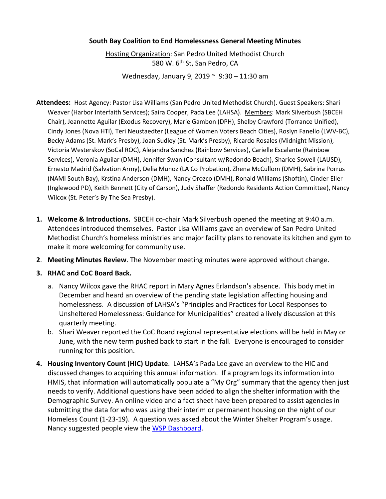## **South Bay Coalition to End Homelessness General Meeting Minutes**

Hosting Organization: San Pedro United Methodist Church 580 W. 6<sup>th</sup> St, San Pedro, CA

Wednesday, January 9, 2019 ~ 9:30 – 11:30 am

- **Attendees:** Host Agency: Pastor Lisa Williams (San Pedro United Methodist Church). Guest Speakers: Shari Weaver (Harbor Interfaith Services); Saira Cooper, Pada Lee (LAHSA). Members: Mark Silverbush (SBCEH Chair), Jeannette Aguilar (Exodus Recovery), Marie Gambon (DPH), Shelby Crawford (Torrance Unified), Cindy Jones (Nova HTI), Teri Neustaedter (League of Women Voters Beach Cities), Roslyn Fanello (LWV-BC), Becky Adams (St. Mark's Presby), Joan Sudley (St. Mark's Presby), Ricardo Rosales (Midnight Mission), Victoria Westerskov (SoCal ROC), Alejandra Sanchez (Rainbow Services), Carielle Escalante (Rainbow Services), Veronia Aguilar (DMH), Jennifer Swan (Consultant w/Redondo Beach), Sharice Sowell (LAUSD), Ernesto Madrid (Salvation Army), Delia Munoz (LA Co Probation), Zhena McCullom (DMH), Sabrina Porrus (NAMI South Bay), Krstina Anderson (DMH), Nancy Orozco (DMH), Ronald Williams (Shoftin), Cinder Eller (Inglewood PD), Keith Bennett (City of Carson), Judy Shaffer (Redondo Residents Action Committee), Nancy Wilcox (St. Peter's By The Sea Presby).
- **1. Welcome & Introductions.** SBCEH co-chair Mark Silverbush opened the meeting at 9:40 a.m. Attendees introduced themselves. Pastor Lisa Williams gave an overview of San Pedro United Methodist Church's homeless ministries and major facility plans to renovate its kitchen and gym to make it more welcoming for community use.
- **2**. **Meeting Minutes Review**. The November meeting minutes were approved without change.
- **3. RHAC and CoC Board Back.** 
	- a. Nancy Wilcox gave the RHAC report in Mary Agnes Erlandson's absence. This body met in December and heard an overview of the pending state legislation affecting housing and homelessness. A discussion of LAHSA's "Principles and Practices for Local Responses to Unsheltered Homelessness: Guidance for Municipalities" created a lively discussion at this quarterly meeting.
	- b. Shari Weaver reported the CoC Board regional representative elections will be held in May or June, with the new term pushed back to start in the fall. Everyone is encouraged to consider running for this position.
- **4. Housing Inventory Count (HIC) Update**. LAHSA's Pada Lee gave an overview to the HIC and discussed changes to acquiring this annual information. If a program logs its information into HMIS, that information will automatically populate a "My Org" summary that the agency then just needs to verify. Additional questions have been added to align the shelter information with the Demographic Survey. An online video and a fact sheet have been prepared to assist agencies in submitting the data for who was using their interim or permanent housing on the night of our Homeless Count (1-23-19). A question was asked about the Winter Shelter Program's usage. Nancy suggested people view the [WSP Dashboard.](https://www.lahsa.org/dashboards?id=39-2018-2019-winter-shelter-program-dashboard)